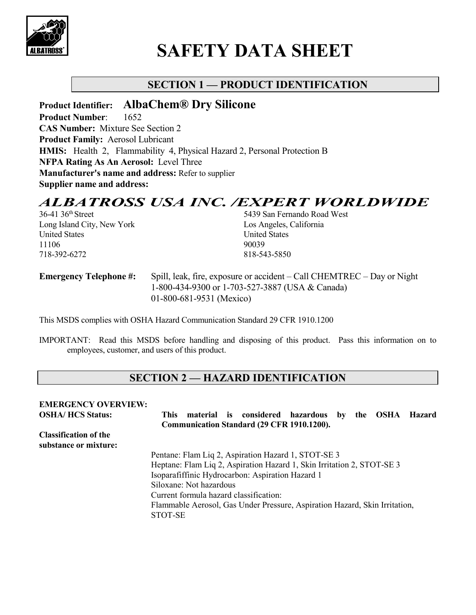

# **SAFETY DATA SHEET**

# **SECTION 1 — PRODUCT IDENTIFICATION**

**Product Identifier: AlbaChem® Dry Silicone Product Number**: 1652 **CAS Number:** Mixture See Section 2 **Product Family:** Aerosol Lubricant **HMIS:** Health 2, Flammability 4, Physical Hazard 2, Personal Protection B **NFPA Rating As An Aerosol:** Level Three **Manufacturer's name and address:** Refer to supplier **Supplier name and address:**

# *ALBATROSS USA INC. /EXPERT WORLDWIDE<br>5439 San Fernando Road West*

Long Island City, New York Los Angeles, California United States United States 11106 90039 718-392-6272 818-543-5850

5439 San Fernando Road West

**Emergency Telephone #:** Spill, leak, fire, exposure or accident – Call CHEMTREC – Day or Night 1-800-434-9300 or 1-703-527-3887 (USA & Canada) 01-800-681-9531 (Mexico)

This MSDS complies with OSHA Hazard Communication Standard 29 CFR 1910.1200

IMPORTANT: Read this MSDS before handling and disposing of this product. Pass this information on to employees, customer, and users of this product.

# **SECTION 2 — HAZARD IDENTIFICATION**

#### **EMERGENCY OVERVIEW:**

| <b>OSHA/HCS Status:</b>      | material is considered hazardous by the OSHA Hazard<br><b>This</b>                    |  |  |  |  |
|------------------------------|---------------------------------------------------------------------------------------|--|--|--|--|
|                              | <b>Communication Standard (29 CFR 1910.1200).</b>                                     |  |  |  |  |
| <b>Classification of the</b> |                                                                                       |  |  |  |  |
| substance or mixture:        |                                                                                       |  |  |  |  |
|                              | Pentane: Flam Liq 2, Aspiration Hazard 1, STOT-SE 3                                   |  |  |  |  |
|                              | Heptane: Flam Liq 2, Aspiration Hazard 1, Skin Irritation 2, STOT-SE 3                |  |  |  |  |
|                              | Isoparafiffinic Hydrocarbon: Aspiration Hazard 1                                      |  |  |  |  |
|                              | Siloxane: Not hazardous                                                               |  |  |  |  |
|                              | Current formula hazard classification:                                                |  |  |  |  |
|                              | Flammable Aerosol, Gas Under Pressure, Aspiration Hazard, Skin Irritation,<br>STOT-SE |  |  |  |  |
|                              |                                                                                       |  |  |  |  |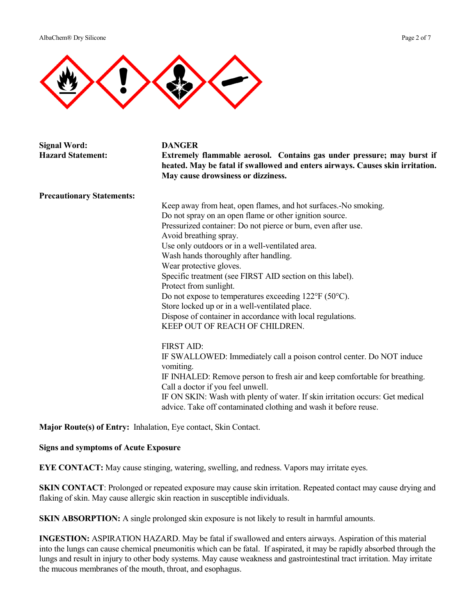

| <b>Signal Word:</b><br><b>Hazard Statement:</b> | <b>DANGER</b><br>Extremely flammable aerosol. Contains gas under pressure; may burst if<br>heated. May be fatal if swallowed and enters airways. Causes skin irritation.<br>May cause drowsiness or dizziness.                                                                                                                                                                                                                                                                                                                                                                                                                                                                                                                                                                                                                                                                                                                                                                                                                                    |  |
|-------------------------------------------------|---------------------------------------------------------------------------------------------------------------------------------------------------------------------------------------------------------------------------------------------------------------------------------------------------------------------------------------------------------------------------------------------------------------------------------------------------------------------------------------------------------------------------------------------------------------------------------------------------------------------------------------------------------------------------------------------------------------------------------------------------------------------------------------------------------------------------------------------------------------------------------------------------------------------------------------------------------------------------------------------------------------------------------------------------|--|
| <b>Precautionary Statements:</b>                |                                                                                                                                                                                                                                                                                                                                                                                                                                                                                                                                                                                                                                                                                                                                                                                                                                                                                                                                                                                                                                                   |  |
|                                                 | Keep away from heat, open flames, and hot surfaces.-No smoking.<br>Do not spray on an open flame or other ignition source.<br>Pressurized container: Do not pierce or burn, even after use.<br>Avoid breathing spray.<br>Use only outdoors or in a well-ventilated area.<br>Wash hands thoroughly after handling.<br>Wear protective gloves.<br>Specific treatment (see FIRST AID section on this label).<br>Protect from sunlight.<br>Do not expose to temperatures exceeding $122^{\circ}F(50^{\circ}C)$ .<br>Store locked up or in a well-ventilated place.<br>Dispose of container in accordance with local regulations.<br>KEEP OUT OF REACH OF CHILDREN.<br><b>FIRST AID:</b><br>IF SWALLOWED: Immediately call a poison control center. Do NOT induce<br>vomiting.<br>IF INHALED: Remove person to fresh air and keep comfortable for breathing.<br>Call a doctor if you feel unwell.<br>IF ON SKIN: Wash with plenty of water. If skin irritation occurs: Get medical<br>advice. Take off contaminated clothing and wash it before reuse. |  |

**Major Route(s) of Entry:** Inhalation, Eye contact, Skin Contact.

#### **Signs and symptoms of Acute Exposure**

**EYE CONTACT:** May cause stinging, watering, swelling, and redness. Vapors may irritate eyes.

**SKIN CONTACT**: Prolonged or repeated exposure may cause skin irritation. Repeated contact may cause drying and flaking of skin. May cause allergic skin reaction in susceptible individuals.

**SKIN ABSORPTION:** A single prolonged skin exposure is not likely to result in harmful amounts.

**INGESTION:** ASPIRATION HAZARD. May be fatal if swallowed and enters airways. Aspiration of this material into the lungs can cause chemical pneumonitis which can be fatal. If aspirated, it may be rapidly absorbed through the lungs and result in injury to other body systems. May cause weakness and gastrointestinal tract irritation. May irritate the mucous membranes of the mouth, throat, and esophagus.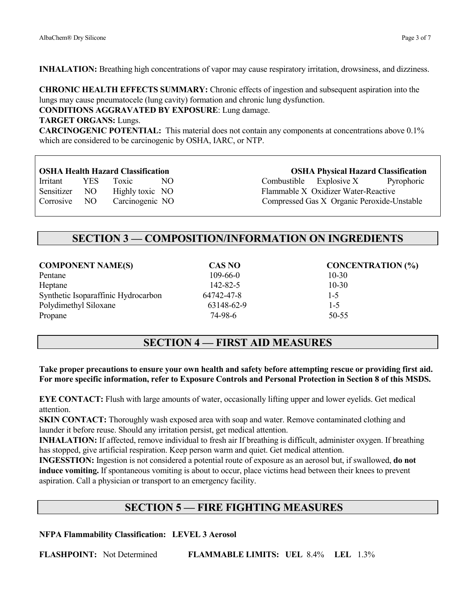**INHALATION:** Breathing high concentrations of vapor may cause respiratory irritation, drowsiness, and dizziness.

**CHRONIC HEALTH EFFECTS SUMMARY:** Chronic effects of ingestion and subsequent aspiration into the lungs may cause pneumatocele (lung cavity) formation and chronic lung dysfunction. **CONDITIONS AGGRAVATED BY EXPOSURE**: Lung damage.

**TARGET ORGANS:** Lungs.

**CARCINOGENIC POTENTIAL:** This material does not contain any components at concentrations above 0.1% which are considered to be carcinogenic by OSHA, IARC, or NTP.

Sensitizer NO Highly toxic NO Flammable X Oxidizer Water-Reactive

**OSHA Health Hazard Classification OSHA Physical Hazard Classification** Irritant YES Toxic NO Combustible Explosive X Pyrophoric Corrosive NO Carcinogenic NO Compressed Gas X Organic Peroxide-Unstable

# **SECTION 3 — COMPOSITION/INFORMATION ON INGREDIENTS**

| <b>COMPONENT NAME(S)</b>            | <b>CAS NO</b> | <b>CONCENTRATION (%)</b> |
|-------------------------------------|---------------|--------------------------|
| Pentane                             | 109-66-0      | $10 - 30$                |
| Heptane                             | 142-82-5      | $10 - 30$                |
| Synthetic Isoparaffinic Hydrocarbon | 64742-47-8    | $1 - 5$                  |
| Polydimethyl Siloxane               | 63148-62-9    | $1 - 5$                  |
| Propane                             | 74-98-6       | 50-55                    |

# **SECTION 4 — FIRST AID MEASURES**

**Take proper precautions to ensure your own health and safety before attempting rescue or providing first aid. For more specific information, refer to Exposure Controls and Personal Protection in Section 8 of this MSDS.**

**EYE CONTACT:** Flush with large amounts of water, occasionally lifting upper and lower eyelids. Get medical attention.

**SKIN CONTACT:** Thoroughly wash exposed area with soap and water. Remove contaminated clothing and launder it before reuse. Should any irritation persist, get medical attention.

**INHALATION:** If affected, remove individual to fresh air If breathing is difficult, administer oxygen. If breathing has stopped, give artificial respiration. Keep person warm and quiet. Get medical attention.

**INGESSTION:** Ingestion is not considered a potential route of exposure as an aerosol but, if swallowed, **do not induce vomiting.** If spontaneous vomiting is about to occur, place victims head between their knees to prevent aspiration. Call a physician or transport to an emergency facility.

# **SECTION 5 — FIRE FIGHTING MEASURES**

**NFPA Flammability Classification: LEVEL 3 Aerosol**

**FLASHPOINT:** Not Determined **FLAMMABLE LIMITS: UEL** 8.4% **LEL** 1.3%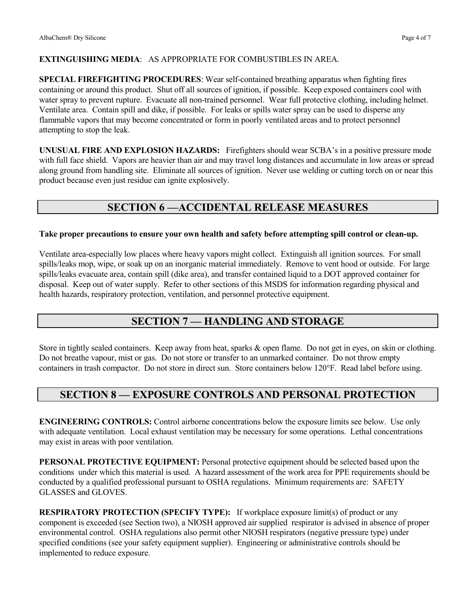#### **EXTINGUISHING MEDIA**: AS APPROPRIATE FOR COMBUSTIBLES IN AREA.

**SPECIAL FIREFIGHTING PROCEDURES**: Wear self-contained breathing apparatus when fighting fires containing or around this product. Shut off all sources of ignition, if possible. Keep exposed containers cool with water spray to prevent rupture. Evacuate all non-trained personnel. Wear full protective clothing, including helmet. Ventilate area. Contain spill and dike, if possible. For leaks or spills water spray can be used to disperse any flammable vapors that may become concentrated or form in poorly ventilated areas and to protect personnel attempting to stop the leak.

**UNUSUAL FIRE AND EXPLOSION HAZARDS:** Firefighters should wear SCBA's in a positive pressure mode with full face shield. Vapors are heavier than air and may travel long distances and accumulate in low areas or spread along ground from handling site. Eliminate all sources of ignition. Never use welding or cutting torch on or near this product because even just residue can ignite explosively.

# **SECTION 6 —ACCIDENTAL RELEASE MEASURES**

#### **Take proper precautions to ensure your own health and safety before attempting spill control or clean-up.**

Ventilate area-especially low places where heavy vapors might collect. Extinguish all ignition sources. For small spills/leaks mop, wipe, or soak up on an inorganic material immediately. Remove to vent hood or outside. For large spills/leaks evacuate area, contain spill (dike area), and transfer contained liquid to a DOT approved container for disposal. Keep out of water supply. Refer to other sections of this MSDS for information regarding physical and health hazards, respiratory protection, ventilation, and personnel protective equipment.

# **SECTION 7 — HANDLING AND STORAGE**

Store in tightly sealed containers. Keep away from heat, sparks & open flame. Do not get in eyes, on skin or clothing. Do not breathe vapour, mist or gas. Do not store or transfer to an unmarked container. Do not throw empty containers in trash compactor. Do not store in direct sun. Store containers below 120°F. Read label before using.

# **SECTION 8 — EXPOSURE CONTROLS AND PERSONAL PROTECTION**

**ENGINEERING CONTROLS:** Control airborne concentrations below the exposure limits see below. Use only with adequate ventilation. Local exhaust ventilation may be necessary for some operations. Lethal concentrations may exist in areas with poor ventilation.

**PERSONAL PROTECTIVE EQUIPMENT:** Personal protective equipment should be selected based upon the conditions under which this material is used. A hazard assessment of the work area for PPE requirements should be conducted by a qualified professional pursuant to OSHA regulations. Minimum requirements are: SAFETY GLASSES and GLOVES.

**RESPIRATORY PROTECTION (SPECIFY TYPE):** If workplace exposure limit(s) of product or any component is exceeded (see Section two), a NIOSH approved air supplied respirator is advised in absence of proper environmental control. OSHA regulations also permit other NIOSH respirators (negative pressure type) under specified conditions (see your safety equipment supplier). Engineering or administrative controls should be implemented to reduce exposure.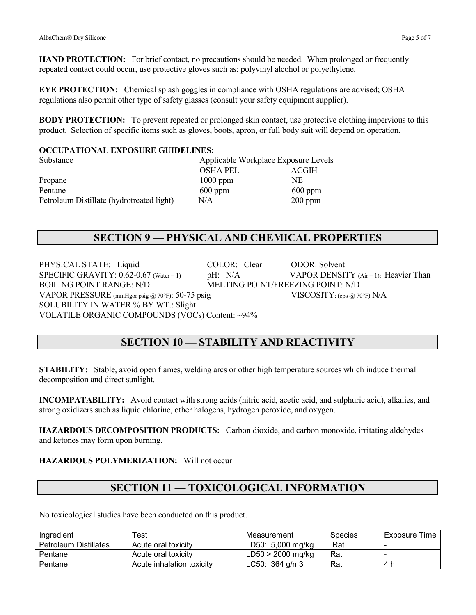**HAND PROTECTION:** For brief contact, no precautions should be needed. When prolonged or frequently repeated contact could occur, use protective gloves such as; polyvinyl alcohol or polyethylene.

**EYE PROTECTION:** Chemical splash goggles in compliance with OSHA regulations are advised; OSHA regulations also permit other type of safety glasses (consult your safety equipment supplier).

**BODY PROTECTION:** To prevent repeated or prolonged skin contact, use protective clothing impervious to this product. Selection of specific items such as gloves, boots, apron, or full body suit will depend on operation.

#### **OCCUPATIONAL EXPOSURE GUIDELINES:**

| Substance                                 | Applicable Workplace Exposure Levels |              |  |
|-------------------------------------------|--------------------------------------|--------------|--|
|                                           | <b>OSHA PEL</b>                      | <b>ACGIH</b> |  |
| Propane                                   | $1000$ ppm                           | NE.          |  |
| Pentane                                   | $600$ ppm                            | $600$ ppm    |  |
| Petroleum Distillate (hydrotreated light) | N/A                                  | $200$ ppm    |  |

# **SECTION 9 — PHYSICAL AND CHEMICAL PROPERTIES**

PHYSICAL STATE: Liquid COLOR: Clear ODOR: Solvent SPECIFIC GRAVITY:  $0.62-0.67$  (Water = 1) pH: N/A VAPOR DENSITY (Air = 1): Heavier Than BOILING POINT RANGE: N/D MELTING POINT/FREEZING POINT: N/D VAPOR PRESSURE (mmHgor psig @ 70°F): 50-75 psig VISCOSITY: (cps @ 70°F) N/A SOLUBILITY IN WATER % BY WT.: Slight VOLATILE ORGANIC COMPOUNDS (VOCs) Content: ~94%

# **SECTION 10 — STABILITY AND REACTIVITY**

**STABILITY:** Stable, avoid open flames, welding arcs or other high temperature sources which induce thermal decomposition and direct sunlight.

**INCOMPATABILITY:** Avoid contact with strong acids (nitric acid, acetic acid, and sulphuric acid), alkalies, and strong oxidizers such as liquid chlorine, other halogens, hydrogen peroxide, and oxygen.

**HAZARDOUS DECOMPOSITION PRODUCTS:** Carbon dioxide, and carbon monoxide, irritating aldehydes and ketones may form upon burning.

#### **HAZARDOUS POLYMERIZATION:** Will not occur

# **SECTION 11 — TOXICOLOGICAL INFORMATION**

No toxicological studies have been conducted on this product.

| Ingredient                   | $\tau_{\mathsf{est}}$     | Measurement       | Species | <b>Exposure Time</b>     |
|------------------------------|---------------------------|-------------------|---------|--------------------------|
| <b>Petroleum Distillates</b> | Acute oral toxicity       | LD50: 5,000 mg/kg | Rat     |                          |
| Pentane                      | Acute oral toxicity       | LD50 > 2000 mg/kg | Rat     | $\overline{\phantom{0}}$ |
| Pentane                      | Acute inhalation toxicity | $LC50: 364$ g/m3  | Rat     | 4 h                      |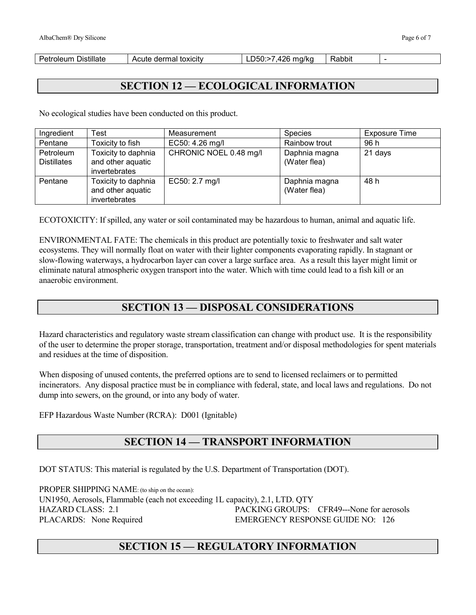| $D$ istillate<br>$\overline{\phantom{a}}$<br>Petroleum | dermal toxicity<br>Acute | 106.<br>ma/ka<br>71.<br>$\cdots$<br>wu.<br>-- | Rabbit |  |
|--------------------------------------------------------|--------------------------|-----------------------------------------------|--------|--|
|--------------------------------------------------------|--------------------------|-----------------------------------------------|--------|--|

# **SECTION 12 — ECOLOGICAL INFORMATION**

No ecological studies have been conducted on this product.

| Ingredient                      | $\tau_{\mathsf{est}}$                                     | Measurement            | <b>Species</b>                | Exposure Time |
|---------------------------------|-----------------------------------------------------------|------------------------|-------------------------------|---------------|
| Pentane                         | Toxicity to fish                                          | EC50: 4.26 mg/l        | Rainbow trout                 | 96 h          |
| Petroleum<br><b>Distillates</b> | Toxicity to daphnia<br>and other aquatic<br>invertebrates | CHRONIC NOEL 0.48 mg/l | Daphnia magna<br>(Water flea) | 21 days       |
| Pentane                         | Toxicity to daphnia<br>and other aquatic<br>invertebrates | EC50: 2.7 mg/l         | Daphnia magna<br>(Water flea) | 48 h          |

ECOTOXICITY: If spilled, any water or soil contaminated may be hazardous to human, animal and aquatic life.

ENVIRONMENTAL FATE: The chemicals in this product are potentially toxic to freshwater and salt water ecosystems. They will normally float on water with their lighter components evaporating rapidly. In stagnant or slow-flowing waterways, a hydrocarbon layer can cover a large surface area. As a result this layer might limit or eliminate natural atmospheric oxygen transport into the water. Which with time could lead to a fish kill or an anaerobic environment.

# **SECTION 13 — DISPOSAL CONSIDERATIONS**

Hazard characteristics and regulatory waste stream classification can change with product use. It is the responsibility of the user to determine the proper storage, transportation, treatment and/or disposal methodologies for spent materials and residues at the time of disposition.

When disposing of unused contents, the preferred options are to send to licensed reclaimers or to permitted incinerators. Any disposal practice must be in compliance with federal, state, and local laws and regulations. Do not dump into sewers, on the ground, or into any body of water.

EFP Hazardous Waste Number (RCRA): D001 (Ignitable)

# **SECTION 14 — TRANSPORT INFORMATION**

DOT STATUS: This material is regulated by the U.S. Department of Transportation (DOT).

PROPER SHIPPING NAME: (to ship on the ocean): UN1950, Aerosols, Flammable (each not exceeding 1L capacity), 2.1, LTD. QTY HAZARD CLASS: 2.1 PACKING GROUPS: CFR49---None for aerosols PLACARDS: None Required EMERGENCY RESPONSE GUIDE NO: 126

# **SECTION 15 — REGULATORY INFORMATION**